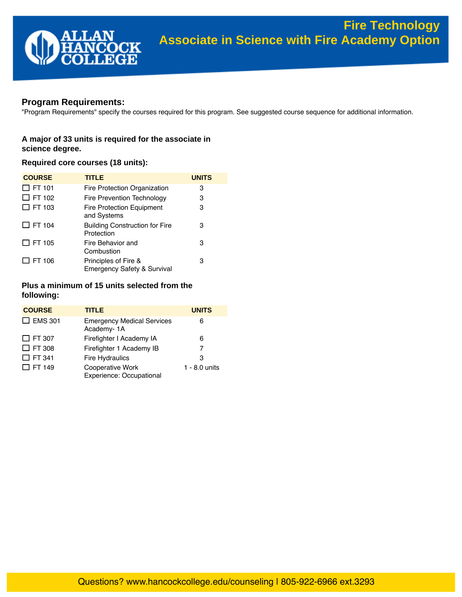

# **Program Requirements:**

"Program Requirements" specify the courses required for this program. See suggested course sequence for additional information.

# **A major of 33 units is required for the associate in science degree.**

## **Required core courses (18 units):**

| <b>COURSE</b> | <b>TITLE</b>                                                   | <b>UNITS</b> |
|---------------|----------------------------------------------------------------|--------------|
| $\Box$ FT 101 | Fire Protection Organization                                   | 3            |
| $\Box$ FT 102 | Fire Prevention Technology                                     | 3            |
| $\Box$ FT 103 | <b>Fire Protection Equipment</b><br>and Systems                | 3            |
| $\Box$ FT 104 | <b>Building Construction for Fire</b><br>Protection            | 3            |
| $\Box$ FT 105 | Fire Behavior and<br>Combustion                                | 3            |
| $\Box$ FT 106 | Principles of Fire &<br><b>Emergency Safety &amp; Survival</b> | 3            |

## **Plus a minimum of 15 units selected from the following:**

| <b>COURSE</b>  | <b>TITLE</b>                                    | <b>UNITS</b>    |
|----------------|-------------------------------------------------|-----------------|
| $\Box$ EMS 301 | <b>Emergency Medical Services</b><br>Academy-1A | 6               |
| $\Box$ FT 307  | Firefighter I Academy IA                        | 6               |
| $\Box$ FT 308  | Firefighter 1 Academy IB                        | 7               |
| $\Box$ FT 341  | <b>Fire Hydraulics</b>                          | 3               |
| $\Box$ FT 149  | Cooperative Work<br>Experience: Occupational    | $1 - 8.0$ units |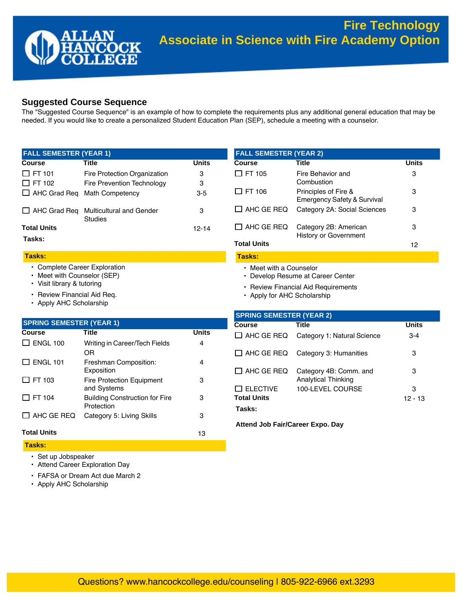# **Suggested Course Sequence**

The "Suggested Course Sequence" is an example of how to complete the requirements plus any additional general education that may be needed. If you would like to create a personalized Student Education Plan (SEP), schedule a meeting with a counselor.

| <b>Course</b>                       | Title                                      | <b>Units</b> |
|-------------------------------------|--------------------------------------------|--------------|
| $\Box$ FT 101                       | Fire Protection Organization               | 3            |
| $\Box$ FT 102                       | Fire Prevention Technology                 | 3            |
| $\Box$ AHC Grad Req Math Competency |                                            | $3 - 5$      |
| $\Box$ AHC Grad Reg                 | Multicultural and Gender<br><b>Studies</b> | 3            |
| <b>Total Units</b>                  |                                            | 12-14        |

### **Tasks:**

#### **Tasks:**

- [Complete Career Exploration](http://www.hancockcollege.edu/careers/career_services.php)
- [Meet with Counselor \(SEP\)](https:///counseling/index.php)
- Visit library & [tutoring](https:///arc/index.php)
- [Review Financial Aid Req.](https:///finaid/index.php)
- [Apply AHC Scholarship](https:///scholarships/index.php)

| <b>FALL JEMEJIER (IEARZ)</b> |                                                                |       |  |
|------------------------------|----------------------------------------------------------------|-------|--|
| Course                       | Title                                                          | Units |  |
| $\Box$ FT 105                | Fire Behavior and<br>Combustion                                | 3     |  |
| $\Box$ FT 106                | Principles of Fire &<br><b>Emergency Safety &amp; Survival</b> | 3     |  |
| $\Box$ AHC GE REQ            | Category 2A: Social Sciences                                   | З     |  |
| $\Box$ AHC GE REQ            | Category 2B: American<br><b>History or Government</b>          | 3     |  |
| <b>Total Units</b>           |                                                                | 12    |  |
| Tasks:                       |                                                                |       |  |

• [Meet with a Counselor](https:///utc/index.php)

**FALL SEMESTER (YEAR 2)**

- [Develop Resume at Career Center](https:///careers/resume.php)
- [Review Financial Aid Requirements](https:///finaid/index.php)
- [Apply for AHC Scholarship](https:///scholarships/index.php)

| <b>SPRING SEMESTER (YEAR 1)</b> |                                                     |              |
|---------------------------------|-----------------------------------------------------|--------------|
| <b>Course</b>                   | Title                                               | <b>Units</b> |
| $\Box$ ENGL 100                 | Writing in Career/Tech Fields<br>OR                 | 4            |
| $\Box$ ENGL 101                 | Freshman Composition:<br>Exposition                 | 4            |
| $\Box$ FT 103                   | <b>Fire Protection Equipment</b><br>and Systems     | 3            |
| $\Box$ FT 104                   | <b>Building Construction for Fire</b><br>Protection | 3            |
| $\Box$ AHC GE REQ               | Category 5: Living Skills                           | 3            |
| <b>Total Units</b>              |                                                     | 13           |

#### **Tasks:**

- [Set up Jobspeaker](https:///careers/jobs.php)
- [Attend Career Exploration Day](https:///careerexploration/index.php)
- [FAFSA](https:///finaid/index.php) or Dream Act due March 2
- [Apply AHC Scholarship](https:///scholarships/index.php)

| <b>SPRING SEMESTER (YEAR 2)</b> |                                                      |              |
|---------------------------------|------------------------------------------------------|--------------|
| Course                          | Title                                                | <b>Units</b> |
| $\Box$ AHC GE REQ               | Category 1: Natural Science                          | $3 - 4$      |
| $\Box$ AHC GE REQ               | Category 3: Humanities                               | 3            |
| $\Box$ AHC GE REQ               | Category 4B: Comm. and<br><b>Analytical Thinking</b> | 3            |
| $\Box$ ELECTIVE                 | 100-LEVEL COURSE                                     | з            |
| <b>Total Units</b>              |                                                      | 12 - 13      |
| Tasks:                          |                                                      |              |

**[Attend Job Fair/Career Expo. Day](https:///careerexploration/index.php)**